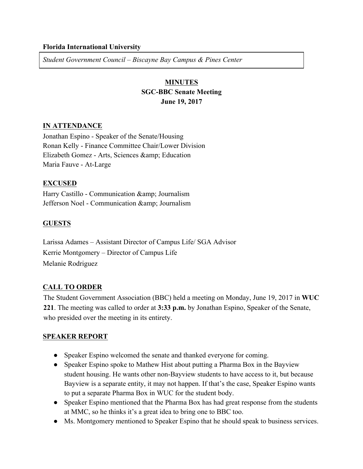### **Florida International University**

*Student Government Council – Biscayne Bay Campus & Pines Center*

# **MINUTES SGC-BBC Senate Meeting June 19, 2017**

### **IN ATTENDANCE**

Jonathan Espino - Speaker of the Senate/Housing Ronan Kelly - Finance Committee Chair/Lower Division Elizabeth Gomez - Arts, Sciences & amp; Education Maria Fauve - At-Large

### **EXCUSED**

Harry Castillo - Communication & amp; Journalism Jefferson Noel - Communication & amp; Journalism

## **GUESTS**

Larissa Adames – Assistant Director of Campus Life/ SGA Advisor Kerrie Montgomery – Director of Campus Life Melanie Rodriguez

## **CALL TO ORDER**

The Student Government Association (BBC) held a meeting on Monday, June 19, 2017 in **WUC 221**. The meeting was called to order at **3:33 p.m.** by Jonathan Espino, Speaker of the Senate, who presided over the meeting in its entirety.

## **SPEAKER REPORT**

- Speaker Espino welcomed the senate and thanked everyone for coming.
- Speaker Espino spoke to Mathew Hist about putting a Pharma Box in the Bayview student housing. He wants other non-Bayview students to have access to it, but because Bayview is a separate entity, it may not happen. If that's the case, Speaker Espino wants to put a separate Pharma Box in WUC for the student body.
- Speaker Espino mentioned that the Pharma Box has had great response from the students at MMC, so he thinks it's a great idea to bring one to BBC too.
- Ms. Montgomery mentioned to Speaker Espino that he should speak to business services.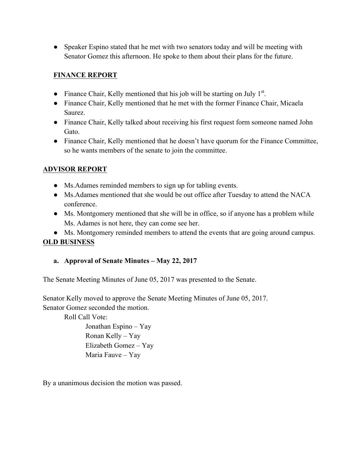• Speaker Espino stated that he met with two senators today and will be meeting with Senator Gomez this afternoon. He spoke to them about their plans for the future.

# **FINANCE REPORT**

- Finance Chair, Kelly mentioned that his job will be starting on July  $1<sup>st</sup>$ .
- Finance Chair, Kelly mentioned that he met with the former Finance Chair, Micaela Saurez.
- Finance Chair, Kelly talked about receiving his first request form someone named John Gato.
- Finance Chair, Kelly mentioned that he doesn't have quorum for the Finance Committee, so he wants members of the senate to join the committee.

# **ADVISOR REPORT**

- Ms.Adames reminded members to sign up for tabling events.
- Ms.Adames mentioned that she would be out office after Tuesday to attend the NACA conference.
- Ms. Montgomery mentioned that she will be in office, so if anyone has a problem while Ms. Adames is not here, they can come see her.
- Ms. Montgomery reminded members to attend the events that are going around campus. **OLD BUSINESS**

# **a. Approval of Senate Minutes – May 22, 2017**

The Senate Meeting Minutes of June 05, 2017 was presented to the Senate.

Senator Kelly moved to approve the Senate Meeting Minutes of June 05, 2017. Senator Gomez seconded the motion.

Roll Call Vote:

Jonathan Espino – Yay Ronan Kelly – Yay Elizabeth Gomez – Yay Maria Fauve – Yay

By a unanimous decision the motion was passed.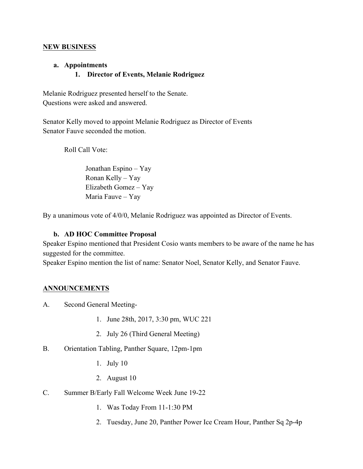### **NEW BUSINESS**

### **a. Appointments**

# **1. Director of Events, Melanie Rodriguez**

Melanie Rodriguez presented herself to the Senate. Questions were asked and answered.

Senator Kelly moved to appoint Melanie Rodriguez as Director of Events Senator Fauve seconded the motion.

Roll Call Vote:

Jonathan Espino – Yay Ronan Kelly – Yay Elizabeth Gomez – Yay Maria Fauve – Yay

By a unanimous vote of 4/0/0, Melanie Rodriguez was appointed as Director of Events.

## **b. AD HOC Committee Proposal**

Speaker Espino mentioned that President Cosio wants members to be aware of the name he has suggested for the committee.

Speaker Espino mention the list of name: Senator Noel, Senator Kelly, and Senator Fauve.

## **ANNOUNCEMENTS**

- A. Second General Meeting-
	- 1. June 28th, 2017, 3:30 pm, WUC 221
	- 2. July 26 (Third General Meeting)
- B. Orientation Tabling, Panther Square, 12pm-1pm
	- 1. July 10
	- 2. August 10
- C. Summer B/Early Fall Welcome Week June 19-22
	- 1. Was Today From 11-1:30 PM
	- 2. Tuesday, June 20, Panther Power Ice Cream Hour, Panther Sq 2p-4p